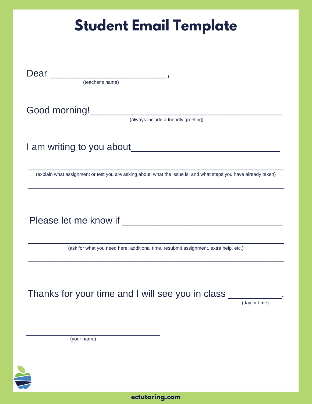| <b>Student Email Template</b>                                                                                                                    |  |
|--------------------------------------------------------------------------------------------------------------------------------------------------|--|
|                                                                                                                                                  |  |
| Dear<br><u> 1986 - Jan Stein Stein Stein Stein Stein Stein Stein Stein Stein Stein Stein Stein Stein Stein Stein Stein S</u><br>(teacher's name) |  |
| Good morning!<br><u>Cood morning!</u><br>(always include a friendly greeting)                                                                    |  |
| I am writing to you about                                                                                                                        |  |
| (explain what assignment or test you are asking about, what the issue is, and what steps you have already taken)                                 |  |
|                                                                                                                                                  |  |
| Please let me know if                                                                                                                            |  |
| (ask for what you need here: additional time, resubmit assignment, extra help, etc.)                                                             |  |
|                                                                                                                                                  |  |
| Thanks for your time and I will see you in class<br>(day or time)                                                                                |  |
| (your name)                                                                                                                                      |  |
|                                                                                                                                                  |  |
|                                                                                                                                                  |  |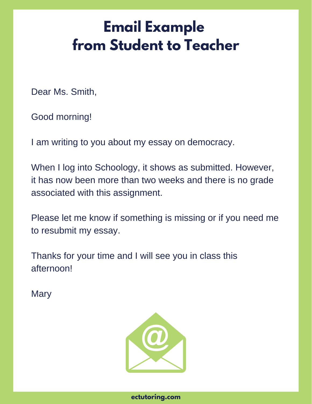## **Email Example from Student to Teacher**

Dear Ms. Smith,

Good morning!

I am writing to you about my essay on democracy.

When I log into Schoology, it shows as submitted. However, it has now been more than two weeks and there is no grade associated with this assignment.

Please let me know if something is missing or if you need me to resubmit my essay.

Thanks for your time and I will see you in class this afternoon!

**Mary**